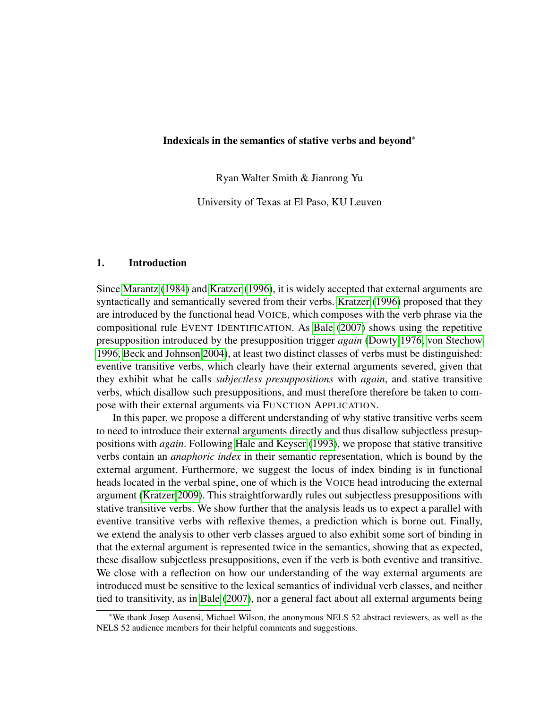#### Indexicals in the semantics of stative verbs and beyond\*

Ryan Walter Smith & Jianrong Yu

University of Texas at El Paso, KU Leuven

## 1. Introduction

Since [Marantz](#page-8-0) [\(1984\)](#page-8-0) and [Kratzer](#page-8-1) [\(1996\)](#page-8-1), it is widely accepted that external arguments are syntactically and semantically severed from their verbs. [Kratzer](#page-8-1) [\(1996\)](#page-8-1) proposed that they are introduced by the functional head VOICE, which composes with the verb phrase via the compositional rule EVENT IDENTIFICATION. As [Bale](#page-8-2) [\(2007\)](#page-8-2) shows using the repetitive presupposition introduced by the presupposition trigger *again* [\(Dowty 1976,](#page-8-3) [von Stechow](#page-8-4) [1996,](#page-8-4) [Beck and Johnson 2004\)](#page-8-5), at least two distinct classes of verbs must be distinguished: eventive transitive verbs, which clearly have their external arguments severed, given that they exhibit what he calls *subjectless presuppositions* with *again*, and stative transitive verbs, which disallow such presuppositions, and must therefore therefore be taken to compose with their external arguments via FUNCTION APPLICATION.

In this paper, we propose a different understanding of why stative transitive verbs seem to need to introduce their external arguments directly and thus disallow subjectless presuppositions with *again*. Following [Hale and Keyser](#page-8-6) [\(1993\)](#page-8-6), we propose that stative transitive verbs contain an *anaphoric index* in their semantic representation, which is bound by the external argument. Furthermore, we suggest the locus of index binding is in functional heads located in the verbal spine, one of which is the VOICE head introducing the external argument [\(Kratzer 2009\)](#page-8-7). This straightforwardly rules out subjectless presuppositions with stative transitive verbs. We show further that the analysis leads us to expect a parallel with eventive transitive verbs with reflexive themes, a prediction which is borne out. Finally, we extend the analysis to other verb classes argued to also exhibit some sort of binding in that the external argument is represented twice in the semantics, showing that as expected, these disallow subjectless presuppositions, even if the verb is both eventive and transitive. We close with a reflection on how our understanding of the way external arguments are introduced must be sensitive to the lexical semantics of individual verb classes, and neither tied to transitivity, as in [Bale](#page-8-2) [\(2007\)](#page-8-2), nor a general fact about all external arguments being

<sup>\*</sup>We thank Josep Ausensi, Michael Wilson, the anonymous NELS 52 abstract reviewers, as well as the NELS 52 audience members for their helpful comments and suggestions.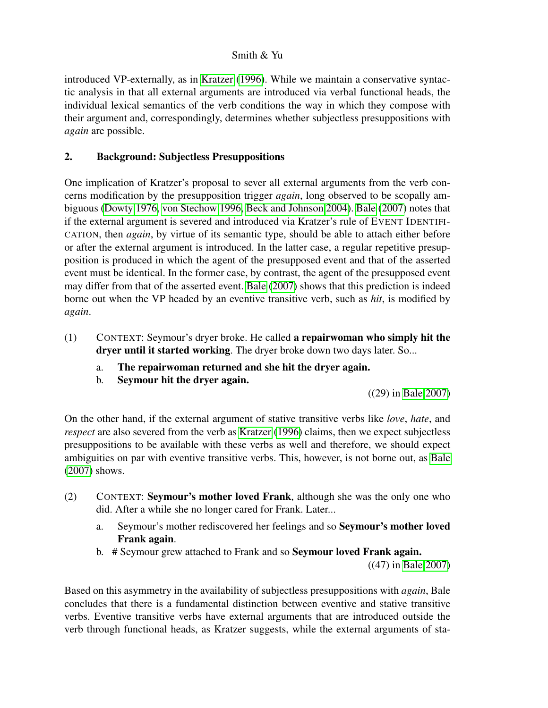introduced VP-externally, as in [Kratzer](#page-8-1) [\(1996\)](#page-8-1). While we maintain a conservative syntactic analysis in that all external arguments are introduced via verbal functional heads, the individual lexical semantics of the verb conditions the way in which they compose with their argument and, correspondingly, determines whether subjectless presuppositions with *again* are possible.

# 2. Background: Subjectless Presuppositions

One implication of Kratzer's proposal to sever all external arguments from the verb concerns modification by the presupposition trigger *again*, long observed to be scopally ambiguous [\(Dowty 1976,](#page-8-3) [von Stechow 1996,](#page-8-4) [Beck and Johnson 2004\)](#page-8-5). [Bale](#page-8-2) [\(2007\)](#page-8-2) notes that if the external argument is severed and introduced via Kratzer's rule of EVENT IDENTIFI-CATION, then *again*, by virtue of its semantic type, should be able to attach either before or after the external argument is introduced. In the latter case, a regular repetitive presupposition is produced in which the agent of the presupposed event and that of the asserted event must be identical. In the former case, by contrast, the agent of the presupposed event may differ from that of the asserted event. [Bale](#page-8-2) [\(2007\)](#page-8-2) shows that this prediction is indeed borne out when the VP headed by an eventive transitive verb, such as *hit*, is modified by *again*.

- <span id="page-1-1"></span>(1) CONTEXT: Seymour's dryer broke. He called a repairwoman who simply hit the dryer until it started working. The dryer broke down two days later. So...
	- a. The repairwoman returned and she hit the dryer again.
	- b. Seymour hit the dryer again.

((29) in [Bale 2007\)](#page-8-2)

On the other hand, if the external argument of stative transitive verbs like *love*, *hate*, and *respect* are also severed from the verb as [Kratzer](#page-8-1) [\(1996\)](#page-8-1) claims, then we expect subjectless presuppositions to be available with these verbs as well and therefore, we should expect ambiguities on par with eventive transitive verbs. This, however, is not borne out, as [Bale](#page-8-2) [\(2007\)](#page-8-2) shows.

- <span id="page-1-0"></span>(2) CONTEXT: Seymour's mother loved Frank, although she was the only one who did. After a while she no longer cared for Frank. Later...
	- a. Seymour's mother rediscovered her feelings and so Seymour's mother loved Frank again.
	- b. # Seymour grew attached to Frank and so Seymour loved Frank again.

((47) in [Bale 2007\)](#page-8-2)

Based on this asymmetry in the availability of subjectless presuppositions with *again*, Bale concludes that there is a fundamental distinction between eventive and stative transitive verbs. Eventive transitive verbs have external arguments that are introduced outside the verb through functional heads, as Kratzer suggests, while the external arguments of sta-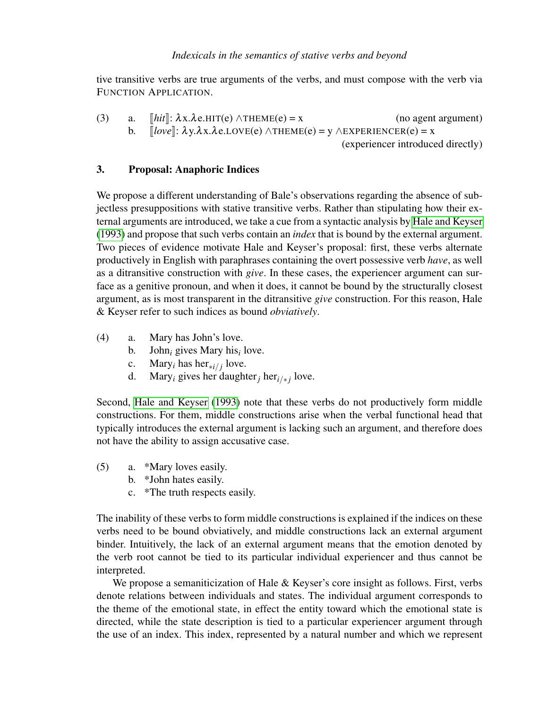## *Indexicals in the semantics of stative verbs and beyond*

tive transitive verbs are true arguments of the verbs, and must compose with the verb via FUNCTION APPLICATION.

(3) a.  $[hit]$ :  $\lambda x.\lambda e.HIT(e) \land THEME(e) = x$  (no agent argument)<br>b.  $[Inv] \cdot \lambda x.\lambda e.HIT(e) \land THEME(e) = x \land FYPEPIENCFP(e) = x$ b.  $[[love]]: \lambda y.\lambda x.\lambda e.Love(e) \land THEME(e) = y \land EXPERIENCE(e) = x$ <br>Coveriences introduce (experiencer introduced directly)

## 3. Proposal: Anaphoric Indices

We propose a different understanding of Bale's observations regarding the absence of subjectless presuppositions with stative transitive verbs. Rather than stipulating how their external arguments are introduced, we take a cue from a syntactic analysis by [Hale and Keyser](#page-8-6) [\(1993\)](#page-8-6) and propose that such verbs contain an *index* that is bound by the external argument. Two pieces of evidence motivate Hale and Keyser's proposal: first, these verbs alternate productively in English with paraphrases containing the overt possessive verb *have*, as well as a ditransitive construction with *give*. In these cases, the experiencer argument can surface as a genitive pronoun, and when it does, it cannot be bound by the structurally closest argument, as is most transparent in the ditransitive *give* construction. For this reason, Hale & Keyser refer to such indices as bound *obviatively*.

- (4) a. Mary has John's love.
	- b. John*<sup>i</sup>* gives Mary his*<sup>i</sup>* love.
	- c. Mary<sub>*i*</sub> has her<sub>∗*i*/*j*</sub> love.
	- d. Mary<sub>*i*</sub> gives her daughter<sub>*j*</sub> her<sub>*i/\*j*</sub> love.

Second, [Hale and Keyser](#page-8-6) [\(1993\)](#page-8-6) note that these verbs do not productively form middle constructions. For them, middle constructions arise when the verbal functional head that typically introduces the external argument is lacking such an argument, and therefore does not have the ability to assign accusative case.

- (5) a. \*Mary loves easily.
	- b. \*John hates easily.
	- c. \*The truth respects easily.

The inability of these verbs to form middle constructions is explained if the indices on these verbs need to be bound obviatively, and middle constructions lack an external argument binder. Intuitively, the lack of an external argument means that the emotion denoted by the verb root cannot be tied to its particular individual experiencer and thus cannot be interpreted.

We propose a semaniticization of Hale & Keyser's core insight as follows. First, verbs denote relations between individuals and states. The individual argument corresponds to the theme of the emotional state, in effect the entity toward which the emotional state is directed, while the state description is tied to a particular experiencer argument through the use of an index. This index, represented by a natural number and which we represent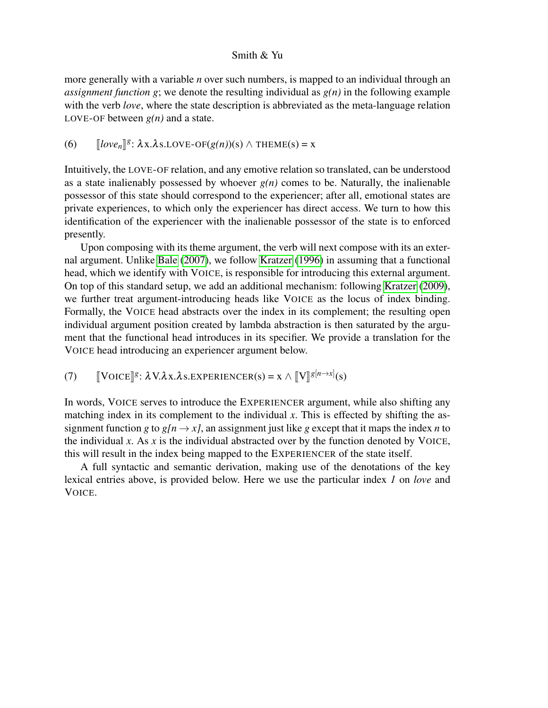more generally with a variable *n* over such numbers, is mapped to an individual through an *assignment function g*; we denote the resulting individual as *g(n)* in the following example with the verb *love*, where the state description is abbreviated as the meta-language relation LOVE-OF between  $g(n)$  and a state.

# (6)  $[[\text{love}_n]]^g: \lambda x.\lambda s.\text{LOVE-OF}(g(n))(s) \wedge \text{THEME}(s) = x$

Intuitively, the LOVE-OF relation, and any emotive relation so translated, can be understood as a state inalienably possessed by whoever  $g(n)$  comes to be. Naturally, the inalienable possessor of this state should correspond to the experiencer; after all, emotional states are private experiences, to which only the experiencer has direct access. We turn to how this identification of the experiencer with the inalienable possessor of the state is to enforced presently.

Upon composing with its theme argument, the verb will next compose with its an external argument. Unlike [Bale](#page-8-2) [\(2007\)](#page-8-2), we follow [Kratzer](#page-8-1) [\(1996\)](#page-8-1) in assuming that a functional head, which we identify with VOICE, is responsible for introducing this external argument. On top of this standard setup, we add an additional mechanism: following [Kratzer](#page-8-7) [\(2009\)](#page-8-7), we further treat argument-introducing heads like VOICE as the locus of index binding. Formally, the VOICE head abstracts over the index in its complement; the resulting open individual argument position created by lambda abstraction is then saturated by the argument that the functional head introduces in its specifier. We provide a translation for the VOICE head introducing an experiencer argument below.

(7)  $\left[\text{VOICE}\right]^{g}$ :  $\lambda \text{V.}\lambda \text{x.}\lambda \text{s.} \text{EXPERIENCER(s)} = \text{x} \wedge \left[\!\left[\text{V}\right]\!\right]^{g[n \to x]}(\text{s})$ 

In words, VOICE serves to introduce the EXPERIENCER argument, while also shifting any matching index in its complement to the individual *x*. This is effected by shifting the assignment function *g* to  $g[n \rightarrow x]$ , an assignment just like *g* except that it maps the index *n* to the individual *x*. As *x* is the individual abstracted over by the function denoted by VOICE, this will result in the index being mapped to the EXPERIENCER of the state itself.

<span id="page-3-0"></span>A full syntactic and semantic derivation, making use of the denotations of the key lexical entries above, is provided below. Here we use the particular index *1* on *love* and VOICE.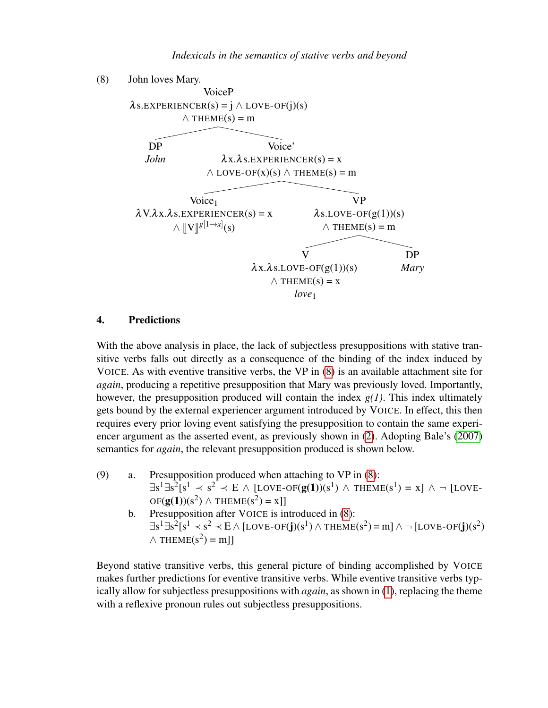

#### 4. Predictions

With the above analysis in place, the lack of subjectless presuppositions with stative transitive verbs falls out directly as a consequence of the binding of the index induced by VOICE. As with eventive transitive verbs, the VP in [\(8\)](#page-3-0) is an available attachment site for *again*, producing a repetitive presupposition that Mary was previously loved. Importantly, however, the presupposition produced will contain the index *g(1)*. This index ultimately gets bound by the external experiencer argument introduced by VOICE. In effect, this then requires every prior loving event satisfying the presupposition to contain the same experiencer argument as the asserted event, as previously shown in [\(2\)](#page-1-0). Adopting Bale's [\(2007\)](#page-8-2) semantics for *again*, the relevant presupposition produced is shown below.

- (9) a. Presupposition produced when attaching to VP in [\(8\)](#page-3-0):  $\exists s^1 \exists s^2 [s^1 \prec s^2 \prec E \wedge [LOVE-OF(g(1))(s^1) \wedge THENE(s^1) = x] \wedge \neg [LOVE OF(g(1))(s^2) \wedge THEME(s^2) = x$ ]
	- b. Presupposition after VOICE is introduced in [\(8\)](#page-3-0):  $\exists$ s<sup>1</sup> $\exists$ s<sup>2</sup>[s<sup>1</sup>  $\prec$  s<sup>2</sup>  $\prec$  E  $\land$  [LOVE-OF(**j**)(s<sup>1</sup>)  $\land$  THEME(s<sup>2</sup>) = m]  $\land$   $\neg$  [LOVE-OF(**j**)(s<sup>2</sup>)  $\wedge$  THEME(s<sup>2</sup>) = m]]

<span id="page-4-0"></span>Beyond stative transitive verbs, this general picture of binding accomplished by VOICE makes further predictions for eventive transitive verbs. While eventive transitive verbs typically allow for subjectless presuppositions with *again*, as shown in [\(1\)](#page-1-1), replacing the theme with a reflexive pronoun rules out subjectless presuppositions.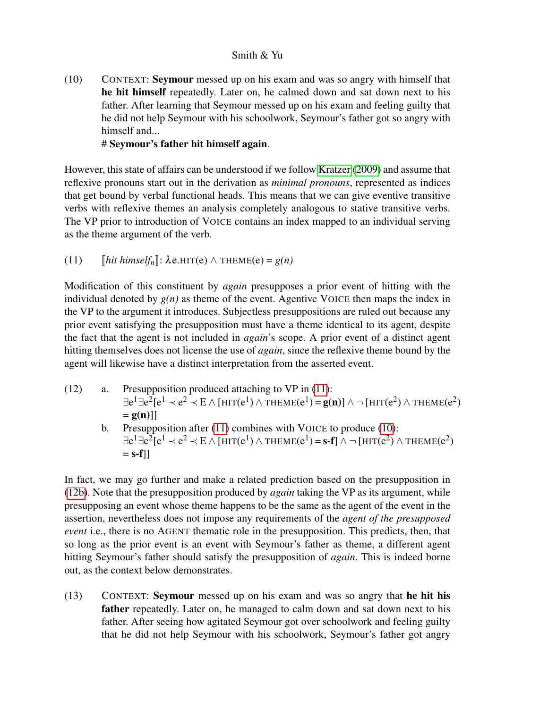(10) CONTEXT: Seymour messed up on his exam and was so angry with himself that he hit himself repeatedly. Later on, he calmed down and sat down next to his father. After learning that Seymour messed up on his exam and feeling guilty that he did not help Seymour with his schoolwork, Seymour's father got so angry with himself and...

## # Seymour's father hit himself again.

However, this state of affairs can be understood if we follow [Kratzer](#page-8-7) [\(2009\)](#page-8-7) and assume that reflexive pronouns start out in the derivation as *minimal pronouns*, represented as indices that get bound by verbal functional heads. This means that we can give eventive transitive verbs with reflexive themes an analysis completely analogous to stative transitive verbs. The VP prior to introduction of VOICE contains an index mapped to an individual serving as the theme argument of the verb.

<span id="page-5-0"></span>(11)  $[hit \, himself_n]: \lambda \, e. \, \text{HIT}(e) \land \text{THEME}(e) = g(n)$ 

Modification of this constituent by *again* presupposes a prior event of hitting with the individual denoted by  $g(n)$  as theme of the event. Agentive VOICE then maps the index in the VP to the argument it introduces. Subjectless presuppositions are ruled out because any prior event satisfying the presupposition must have a theme identical to its agent, despite the fact that the agent is not included in *again*'s scope. A prior event of a distinct agent hitting themselves does not license the use of *again*, since the reflexive theme bound by the agent will likewise have a distinct interpretation from the asserted event.

- <span id="page-5-1"></span>(12) a. Presupposition produced attaching to VP in [\(11\)](#page-5-0):  $\exists e^1 \exists e^2 [e^1 \prec e^2 \prec E \wedge [HIT(e^1) \wedge THEME(e^1) = g(n)] \wedge \neg [HIT(e^2) \wedge THEME(e^2)]$  $= g(n)$ ]
	- b. Presupposition after [\(11\)](#page-5-0) combines with VOICE to produce [\(10\)](#page-4-0):  $\exists e^1 \exists e^2 [e^1 \prec e^2 \prec E \wedge [HIT(e^1) \wedge THEME(e^1) = s-f] \wedge \neg [HIT(e^2) \wedge THEME(e^2)]$  $=$  s-f]]

In fact, we may go further and make a related prediction based on the presupposition in [\(12b\)](#page-5-1). Note that the presupposition produced by *again* taking the VP as its argument, while presupposing an event whose theme happens to be the same as the agent of the event in the assertion, nevertheless does not impose any requirements of the *agent of the presupposed event* i.e., there is no AGENT thematic role in the presupposition. This predicts, then, that so long as the prior event is an event with Seymour's father as theme, a different agent hitting Seymour's father should satisfy the presupposition of *again*. This is indeed borne out, as the context below demonstrates.

(13) CONTEXT: Seymour messed up on his exam and was so angry that he hit his father repeatedly. Later on, he managed to calm down and sat down next to his father. After seeing how agitated Seymour got over schoolwork and feeling guilty that he did not help Seymour with his schoolwork, Seymour's father got angry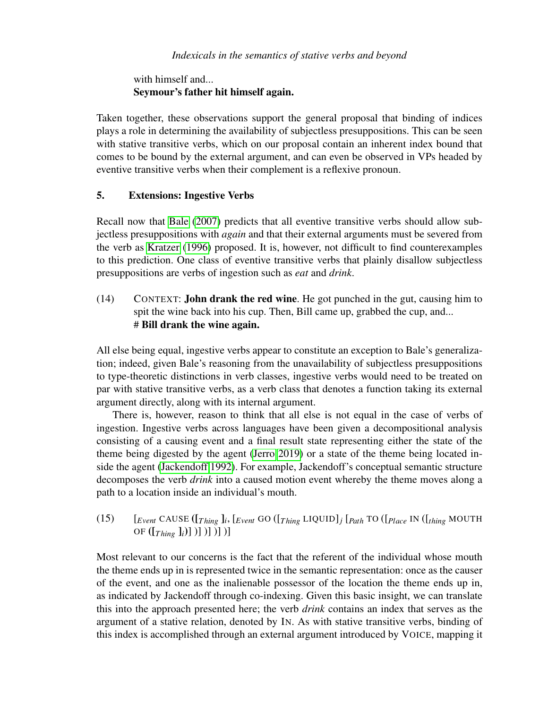with himself and... Seymour's father hit himself again.

Taken together, these observations support the general proposal that binding of indices plays a role in determining the availability of subjectless presuppositions. This can be seen with stative transitive verbs, which on our proposal contain an inherent index bound that comes to be bound by the external argument, and can even be observed in VPs headed by eventive transitive verbs when their complement is a reflexive pronoun.

## 5. Extensions: Ingestive Verbs

Recall now that [Bale](#page-8-2) [\(2007\)](#page-8-2) predicts that all eventive transitive verbs should allow subjectless presuppositions with *again* and that their external arguments must be severed from the verb as [Kratzer](#page-8-1) [\(1996\)](#page-8-1) proposed. It is, however, not difficult to find counterexamples to this prediction. One class of eventive transitive verbs that plainly disallow subjectless presuppositions are verbs of ingestion such as *eat* and *drink*.

# (14) CONTEXT: John drank the red wine. He got punched in the gut, causing him to spit the wine back into his cup. Then, Bill came up, grabbed the cup, and... # Bill drank the wine again.

All else being equal, ingestive verbs appear to constitute an exception to Bale's generalization; indeed, given Bale's reasoning from the unavailability of subjectless presuppositions to type-theoretic distinctions in verb classes, ingestive verbs would need to be treated on par with stative transitive verbs, as a verb class that denotes a function taking its external argument directly, along with its internal argument.

There is, however, reason to think that all else is not equal in the case of verbs of ingestion. Ingestive verbs across languages have been given a decompositional analysis consisting of a causing event and a final result state representing either the state of the theme being digested by the agent [\(Jerro 2019\)](#page-8-8) or a state of the theme being located inside the agent [\(Jackendoff 1992\)](#page-8-9). For example, Jackendoff's conceptual semantic structure decomposes the verb *drink* into a caused motion event whereby the theme moves along a path to a location inside an individual's mouth.

(15) [*Event* CAUSE ([*T hing* ]*<sup>i</sup>* , [*Event* GO ([*T hing* LIQUID]*<sup>j</sup>* [*Path* TO ([*Place* IN ([*thing* MOUTH OF  $([T_{hine} ]_i)]$  )] )] )] )]

Most relevant to our concerns is the fact that the referent of the individual whose mouth the theme ends up in is represented twice in the semantic representation: once as the causer of the event, and one as the inalienable possessor of the location the theme ends up in, as indicated by Jackendoff through co-indexing. Given this basic insight, we can translate this into the approach presented here; the verb *drink* contains an index that serves as the argument of a stative relation, denoted by IN. As with stative transitive verbs, binding of this index is accomplished through an external argument introduced by VOICE, mapping it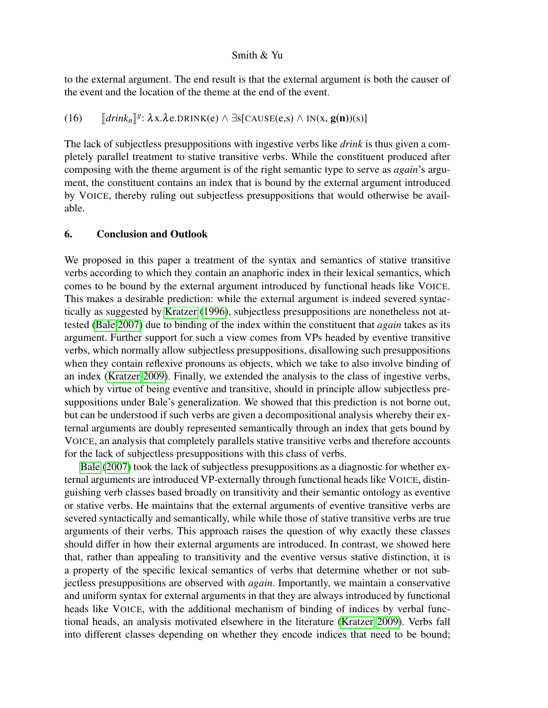to the external argument. The end result is that the external argument is both the causer of the event and the location of the theme at the end of the event.

(16)  $[drink_n]$ <sup>g</sup>:  $\lambda x.\lambda e.DRINK(e) \wedge \exists s[CAUSE(e,s) \wedge IN(x, g(n))(s)]$ 

The lack of subjectless presuppositions with ingestive verbs like *drink* is thus given a completely parallel treatment to stative transitive verbs. While the constituent produced after composing with the theme argument is of the right semantic type to serve as *again*'s argument, the constituent contains an index that is bound by the external argument introduced by VOICE, thereby ruling out subjectless presuppositions that would otherwise be available.

#### 6. Conclusion and Outlook

We proposed in this paper a treatment of the syntax and semantics of stative transitive verbs according to which they contain an anaphoric index in their lexical semantics, which comes to be bound by the external argument introduced by functional heads like VOICE. This makes a desirable prediction: while the external argument is indeed severed syntactically as suggested by [Kratzer](#page-8-1) [\(1996\)](#page-8-1), subjectless presuppositions are nonetheless not attested [\(Bale 2007\)](#page-8-2) due to binding of the index within the constituent that *again* takes as its argument. Further support for such a view comes from VPs headed by eventive transitive verbs, which normally allow subjectless presuppositions, disallowing such presuppositions when they contain reflexive pronouns as objects, which we take to also involve binding of an index [\(Kratzer 2009\)](#page-8-7). Finally, we extended the analysis to the class of ingestive verbs, which by virtue of being eventive and transitive, should in principle allow subjectless presuppositions under Bale's generalization. We showed that this prediction is not borne out, but can be understood if such verbs are given a decompositional analysis whereby their external arguments are doubly represented semantically through an index that gets bound by VOICE, an analysis that completely parallels stative transitive verbs and therefore accounts for the lack of subjectless presuppositions with this class of verbs.

[Bale](#page-8-2) [\(2007\)](#page-8-2) took the lack of subjectless presuppositions as a diagnostic for whether external arguments are introduced VP-externally through functional heads like VOICE, distinguishing verb classes based broadly on transitivity and their semantic ontology as eventive or stative verbs. He maintains that the external arguments of eventive transitive verbs are severed syntactically and semantically, while while those of stative transitive verbs are true arguments of their verbs. This approach raises the question of why exactly these classes should differ in how their external arguments are introduced. In contrast, we showed here that, rather than appealing to transitivity and the eventive versus stative distinction, it is a property of the specific lexical semantics of verbs that determine whether or not subjectless presuppositions are observed with *again*. Importantly, we maintain a conservative and uniform syntax for external arguments in that they are always introduced by functional heads like VOICE, with the additional mechanism of binding of indices by verbal functional heads, an analysis motivated elsewhere in the literature [\(Kratzer 2009\)](#page-8-7). Verbs fall into different classes depending on whether they encode indices that need to be bound;